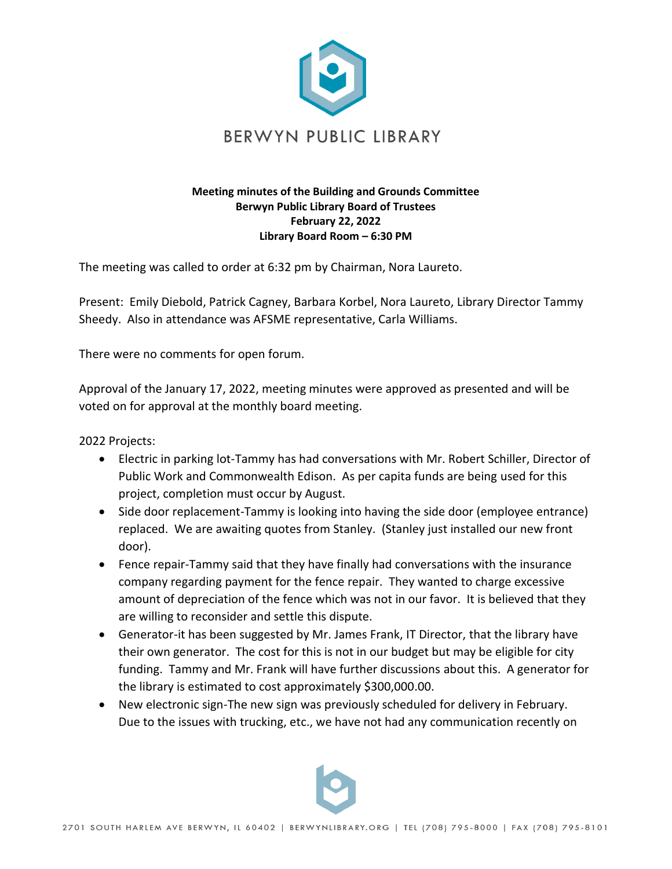

## **Meeting minutes of the Building and Grounds Committee Berwyn Public Library Board of Trustees February 22, 2022 Library Board Room – 6:30 PM**

The meeting was called to order at 6:32 pm by Chairman, Nora Laureto.

Present: Emily Diebold, Patrick Cagney, Barbara Korbel, Nora Laureto, Library Director Tammy Sheedy. Also in attendance was AFSME representative, Carla Williams.

There were no comments for open forum.

Approval of the January 17, 2022, meeting minutes were approved as presented and will be voted on for approval at the monthly board meeting.

2022 Projects:

- Electric in parking lot-Tammy has had conversations with Mr. Robert Schiller, Director of Public Work and Commonwealth Edison. As per capita funds are being used for this project, completion must occur by August.
- Side door replacement-Tammy is looking into having the side door (employee entrance) replaced. We are awaiting quotes from Stanley. (Stanley just installed our new front door).
- Fence repair-Tammy said that they have finally had conversations with the insurance company regarding payment for the fence repair. They wanted to charge excessive amount of depreciation of the fence which was not in our favor. It is believed that they are willing to reconsider and settle this dispute.
- Generator-it has been suggested by Mr. James Frank, IT Director, that the library have their own generator. The cost for this is not in our budget but may be eligible for city funding. Tammy and Mr. Frank will have further discussions about this. A generator for the library is estimated to cost approximately \$300,000.00.
- New electronic sign-The new sign was previously scheduled for delivery in February. Due to the issues with trucking, etc., we have not had any communication recently on